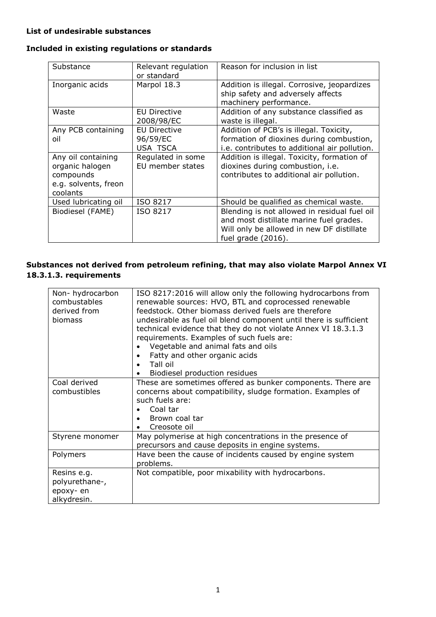## **List of undesirable substances**

## **Included in existing regulations or standards**

| Substance                                                                              | Relevant regulation<br>or standard          | Reason for inclusion in list                                                                                                                               |
|----------------------------------------------------------------------------------------|---------------------------------------------|------------------------------------------------------------------------------------------------------------------------------------------------------------|
| Inorganic acids                                                                        | Marpol 18.3                                 | Addition is illegal. Corrosive, jeopardizes<br>ship safety and adversely affects<br>machinery performance.                                                 |
| Waste                                                                                  | EU Directive<br>2008/98/EC                  | Addition of any substance classified as<br>waste is illegal.                                                                                               |
| Any PCB containing<br>oil                                                              | <b>EU Directive</b><br>96/59/EC<br>USA TSCA | Addition of PCB's is illegal. Toxicity,<br>formation of dioxines during combustion,<br>i.e. contributes to additional air pollution.                       |
| Any oil containing<br>organic halogen<br>compounds<br>e.g. solvents, freon<br>coolants | Regulated in some<br>EU member states       | Addition is illegal. Toxicity, formation of<br>dioxines during combustion, i.e.<br>contributes to additional air pollution.                                |
| Used lubricating oil                                                                   | ISO 8217                                    | Should be qualified as chemical waste.                                                                                                                     |
| Biodiesel (FAME)                                                                       | ISO 8217                                    | Blending is not allowed in residual fuel oil<br>and most distillate marine fuel grades.<br>Will only be allowed in new DF distillate<br>fuel grade (2016). |

## **Substances not derived from petroleum refining, that may also violate Marpol Annex VI 18.3.1.3. requirements**

| Non-hydrocarbon<br>combustables<br>derived from<br>biomass | ISO 8217:2016 will allow only the following hydrocarbons from<br>renewable sources: HVO, BTL and coprocessed renewable<br>feedstock. Other biomass derived fuels are therefore<br>undesirable as fuel oil blend component until there is sufficient<br>technical evidence that they do not violate Annex VI 18.3.1.3<br>requirements. Examples of such fuels are:<br>Vegetable and animal fats and oils<br>Fatty and other organic acids<br>Tall oil<br>Biodiesel production residues |
|------------------------------------------------------------|---------------------------------------------------------------------------------------------------------------------------------------------------------------------------------------------------------------------------------------------------------------------------------------------------------------------------------------------------------------------------------------------------------------------------------------------------------------------------------------|
| Coal derived<br>combustibles                               | These are sometimes offered as bunker components. There are<br>concerns about compatibility, sludge formation. Examples of<br>such fuels are:<br>Coal tar<br>Brown coal tar<br>Creosote oil<br>٠                                                                                                                                                                                                                                                                                      |
| Styrene monomer                                            | May polymerise at high concentrations in the presence of<br>precursors and cause deposits in engine systems.                                                                                                                                                                                                                                                                                                                                                                          |
| Polymers                                                   | Have been the cause of incidents caused by engine system<br>problems.                                                                                                                                                                                                                                                                                                                                                                                                                 |
| Resins e.g.<br>polyurethane-,<br>epoxy- en<br>alkydresin.  | Not compatible, poor mixability with hydrocarbons.                                                                                                                                                                                                                                                                                                                                                                                                                                    |